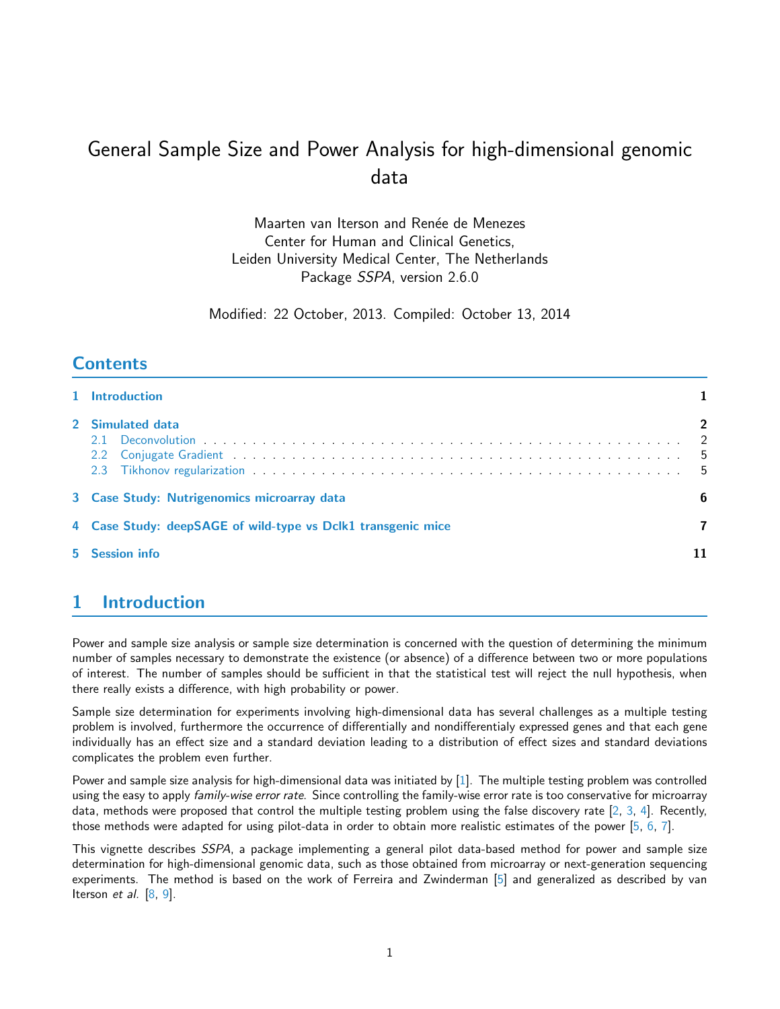# General Sample Size and Power Analysis for high-dimensional genomic data

Maarten van Iterson and Renée de Menezes Center for Human and Clinical Genetics, Leiden University Medical Center, The Netherlands Package SSPA, version 2.6.0

Modified: 22 October, 2013. Compiled: October 13, 2014

# **Contents**

| 1 Introduction                                               |                         |
|--------------------------------------------------------------|-------------------------|
| 2 Simulated data                                             | $\overline{\mathbf{2}}$ |
| 3 Case Study: Nutrigenomics microarray data                  | 6                       |
| 4 Case Study: deepSAGE of wild-type vs Dclk1 transgenic mice |                         |
| 5 Session info                                               |                         |

# <span id="page-0-0"></span>1 Introduction

Power and sample size analysis or sample size determination is concerned with the question of determining the minimum number of samples necessary to demonstrate the existence (or absence) of a difference between two or more populations of interest. The number of samples should be sufficient in that the statistical test will reject the null hypothesis, when there really exists a difference, with high probability or power.

Sample size determination for experiments involving high-dimensional data has several challenges as a multiple testing problem is involved, furthermore the occurrence of differentially and nondifferentialy expressed genes and that each gene individually has an effect size and a standard deviation leading to a distribution of effect sizes and standard deviations complicates the problem even further.

Power and sample size analysis for high-dimensional data was initiated by  $[1]$ . The multiple testing problem was controlled using the easy to apply family-wise error rate. Since controlling the family-wise error rate is too conservative for microarray data, methods were proposed that control the multiple testing problem using the false discovery rate [\[2,](#page-10-2) [3,](#page-10-3) [4\]](#page-10-4). Recently, those methods were adapted for using pilot-data in order to obtain more realistic estimates of the power [\[5,](#page-10-5) [6,](#page-10-6) [7\]](#page-10-7).

This vignette describes SSPA, a package implementing a general pilot data-based method for power and sample size determination for high-dimensional genomic data, such as those obtained from microarray or next-generation sequencing experiments. The method is based on the work of Ferreira and Zwinderman [\[5\]](#page-10-5) and generalized as described by van Iterson et al.  $[8, 9]$  $[8, 9]$  $[8, 9]$ .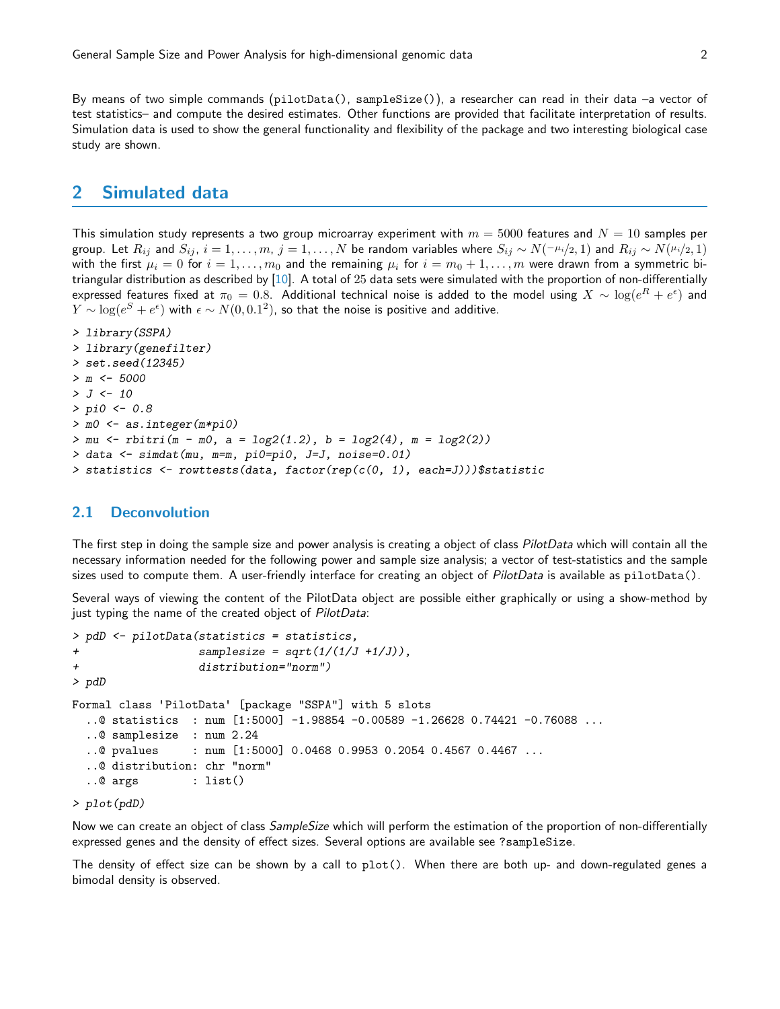By means of two simple commands (pilotData(), sampleSize()), a researcher can read in their data –a vector of test statistics– and compute the desired estimates. Other functions are provided that facilitate interpretation of results. Simulation data is used to show the general functionality and flexibility of the package and two interesting biological case study are shown.

## <span id="page-1-0"></span>2 Simulated data

This simulation study represents a two group microarray experiment with  $m=5000$  features and  $N=10$  samples per group. Let  $R_{ij}$  and  $S_{ij}$ ,  $i = 1, \ldots, m$ ,  $j = 1, \ldots, N$  be random variables where  $S_{ij} \sim N(-\mu_i/2, 1)$  and  $R_{ij} \sim N(\mu_i/2, 1)$ with the first  $\mu_i = 0$  for  $i = 1, \ldots, m_0$  and the remaining  $\mu_i$  for  $i = m_0 + 1, \ldots, m$  were drawn from a symmetric bitriangular distribution as described by [\[10\]](#page-10-10). A total of 25 data sets were simulated with the proportion of non-differentially expressed features fixed at  $\pi_0=0.8$ . Additional technical noise is added to the model using  $X\sim\log(e^R+e^{\epsilon})$  and  $Y \sim \log(e^S + e^{\epsilon})$  with  $\epsilon \sim N(0,0.1^2)$ , so that the noise is positive and additive.

```
> library(SSPA)
> library(genefilter)
> set.seed(12345)
> m < -5000> J < - 10> pi0 <- 0.8
> m0 <- as.integer(m*pi0)
> mu < -rbitri(m - m0, a = log2(1.2), b = log2(4), m = log2(2))> data <- simdat(mu, m=m, pi0=pi0, J=J, noise=0.01)
> statistics \le rowttests(data, factor(rep(c(0, 1), each=J)))$statistic
```
#### <span id="page-1-1"></span>2.1 Deconvolution

The first step in doing the sample size and power analysis is creating a object of class *PilotData* which will contain all the necessary information needed for the following power and sample size analysis; a vector of test-statistics and the sample sizes used to compute them. A user-friendly interface for creating an object of PilotData is available as pilotData().

Several ways of viewing the content of the PilotData object are possible either graphically or using a show-method by just typing the name of the created object of PilotData:

```
> pdD <- pilotData(statistics = statistics,
+ \qquad \qquad \text{samplesize = sqrt}(1/(1/J + 1/J)),+ distribution="norm")
> pdD
Formal class 'PilotData' [package "SSPA"] with 5 slots
  ..@ statistics : num [1:5000] -1.98854 -0.00589 -1.26628 0.74421 -0.76088 ...
  ..@ samplesize : num 2.24
  ..@ pvalues : num [1:5000] 0.0468 0.9953 0.2054 0.4567 0.4467 ...
  ..@ distribution: chr "norm"
  ..@ args : list()
```
#### > plot(pdD)

Now we can create an object of class *SampleSize* which will perform the estimation of the proportion of non-differentially expressed genes and the density of effect sizes. Several options are available see ?sampleSize.

The density of effect size can be shown by a call to plot(). When there are both up- and down-regulated genes a bimodal density is observed.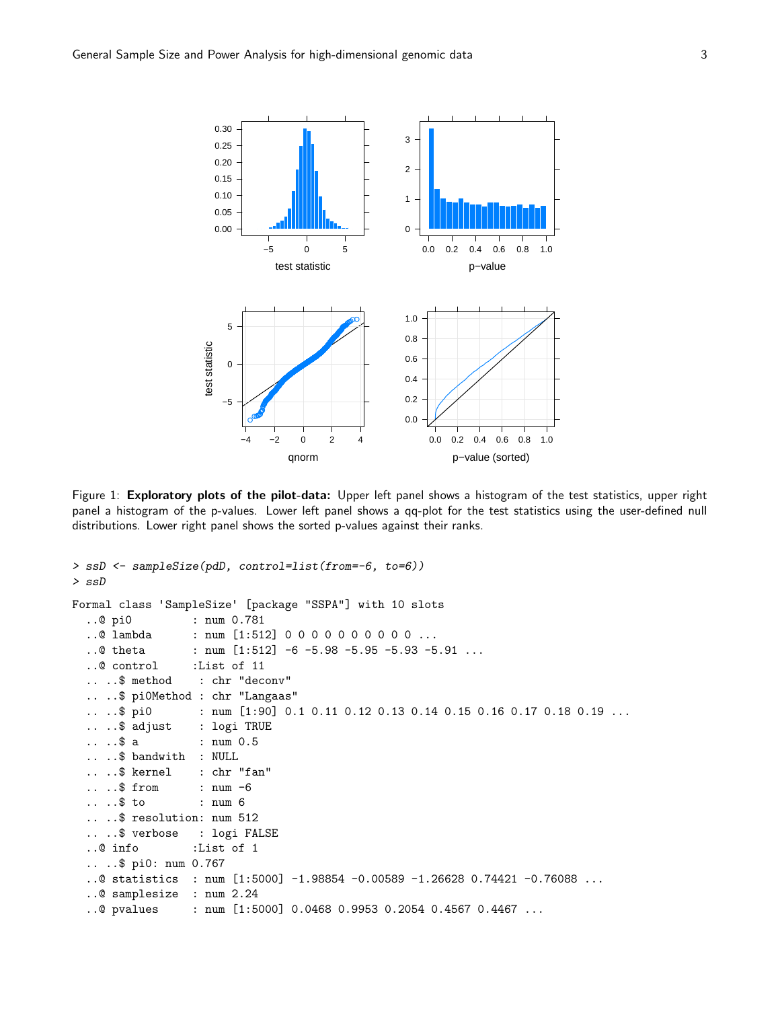

Figure 1: Exploratory plots of the pilot-data: Upper left panel shows a histogram of the test statistics, upper right panel a histogram of the p-values. Lower left panel shows a qq-plot for the test statistics using the user-defined null distributions. Lower right panel shows the sorted p-values against their ranks.

```
> ssD <- sampleSize(pdD, control=list(from=-6, to=6))
> ssD
Formal class 'SampleSize' [package "SSPA"] with 10 slots
  ..@ pi0 : num 0.781
  ..@ lambda : num [1:512] 0 0 0 0 0 0 0 0 0 0 ...
  ..@ theta : num [1:512] -6 -5.98 -5.95 -5.93 -5.91 ...
  ..@ control :List of 11
  .. ..$ method : chr "deconv"
    .. ..$ pi0Method : chr "Langaas"
    ..$ pi0 : num [1:90] 0.1 0.11 0.12 0.13 0.14 0.15 0.16 0.17 0.18 0.19 ...
  .. ..$ adjust : logi TRUE
  .. ..$ a : num 0.5
  .. ..$ bandwith : NULL
    ..$ kernel : chr "fan"
     \ldots$ from : num -6\ldots$ to : num 6
    ..$ resolution: num 512
     ..$ verbose : logi FALSE
  ..@ info :List of 1
  .. ..$ pi0: num 0.767
  ..@ statistics : num [1:5000] -1.98854 -0.00589 -1.26628 0.74421 -0.76088 ...
  ..@ samplesize : num 2.24
  ..@ pvalues : num [1:5000] 0.0468 0.9953 0.2054 0.4567 0.4467 ...
```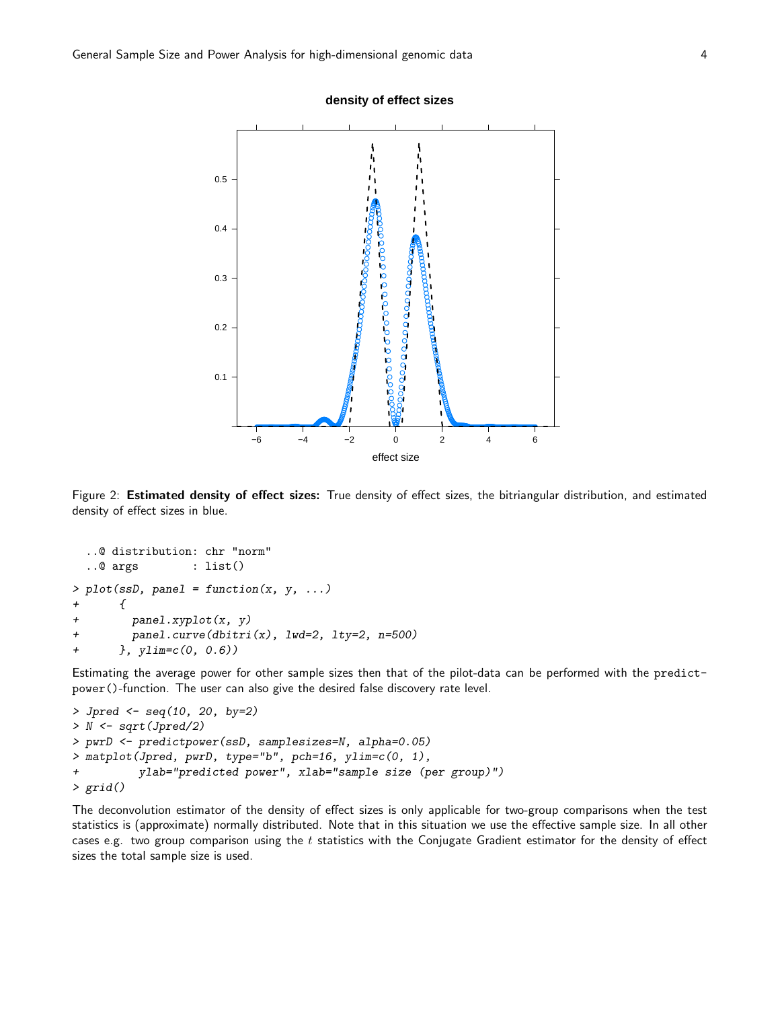

Figure 2: Estimated density of effect sizes: True density of effect sizes, the bitriangular distribution, and estimated density of effect sizes in blue.

```
..@ distribution: chr "norm"
 ..@ args : list()
> plot(ssD, panel = function(x, y, ...)+ {
+ panel.xyplot(x, y)
+ panel.curve(dbitri(x), lwd=2, lty=2, n=500)
+ }, ylim=c(0, 0.6))
```
Estimating the average power for other sample sizes then that of the pilot-data can be performed with the predictpower()-function. The user can also give the desired false discovery rate level.

```
> Jpred <- seq(10, 20, by=2)
> N <- sqrt(Jpred/2)
> pwrD <- predictpower(ssD, samplesizes=N, alpha=0.05)
> matplot(Jpred, pwrD, type="b", pch=16, ylim=c(0, 1),
+ ylab="predicted power", xlab="sample size (per group)")
> grid()
```
<span id="page-3-0"></span>The deconvolution estimator of the density of effect sizes is only applicable for two-group comparisons when the test statistics is (approximate) normally distributed. Note that in this situation we use the effective sample size. In all other cases e.g. two group comparison using the  $t$  statistics with the Conjugate Gradient estimator for the density of effect sizes the total sample size is used.

#### **density of effect sizes**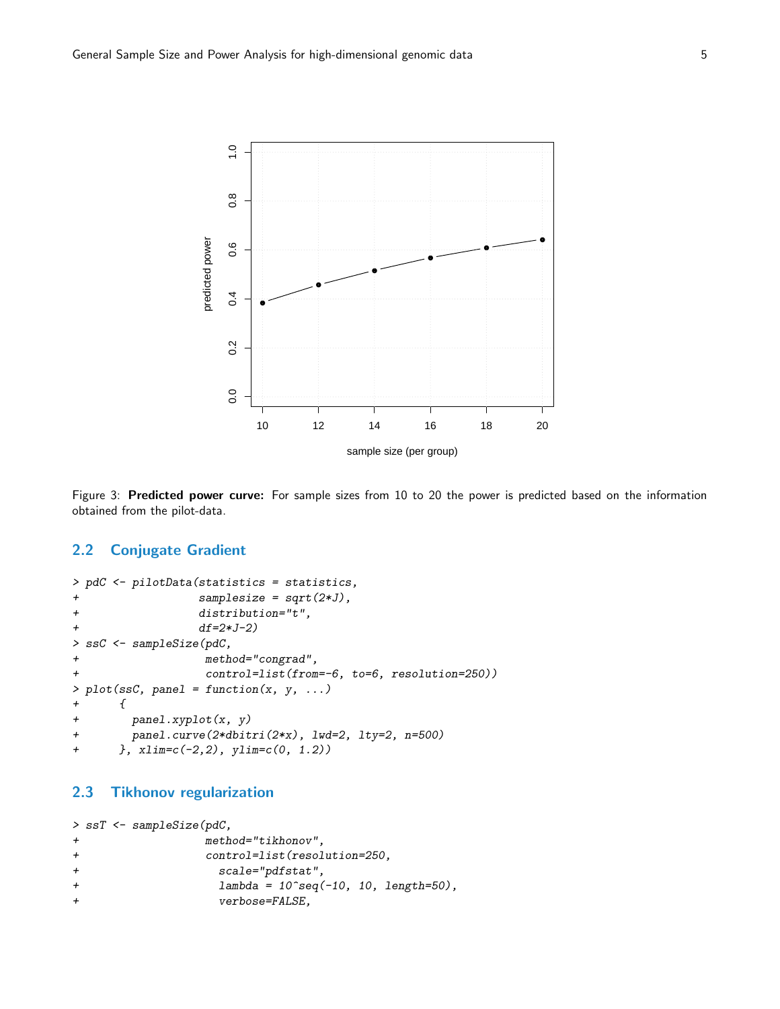

Figure 3: Predicted power curve: For sample sizes from 10 to 20 the power is predicted based on the information obtained from the pilot-data.

#### 2.2 Conjugate Gradient

```
> pdC <- pilotData(statistics = statistics,
+ samplesize = sqrt(2*J),
+ distribution="t",
+ df=2*J-2)
> ssC <- sampleSize(pdC,
+ method="congrad",
+ control=list(from=-6, to=6, resolution=250))
> plot(ssC, panel = function(x, y, ...)+ \{+ panel.xyplot(x, y)
+ panel.curve(2*dbitri(2*x), lwd=2, lty=2, n=500)
+ }, xlim=c(-2,2), ylim=c(0, 1.2))
```
#### <span id="page-4-0"></span>2.3 Tikhonov regularization

```
> ssT <- sampleSize(pdC,
+ method="tikhonov",
+ control=list(resolution=250,
+ scale="pdfstat",
+ lambda = 10^{\circ}seq(-10, 10, length=50),
+ verbose=FALSE,
```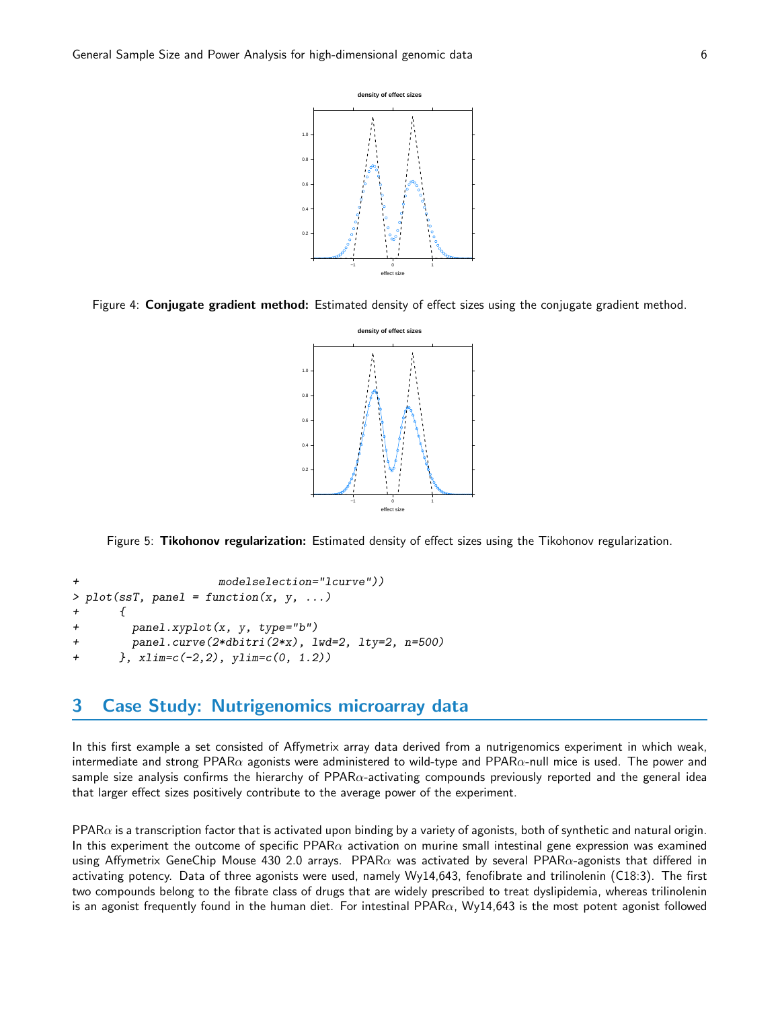

Figure 4: Conjugate gradient method: Estimated density of effect sizes using the conjugate gradient method.



Figure 5: Tikohonov regularization: Estimated density of effect sizes using the Tikohonov regularization.

```
modelselection="lcurve"))
> plot(ssf, panel = function(x, y, ...)+ {
+ panel.xyplot(x, y, type="b")
+ panel.curve(2*dbitri(2*x), lwd=2, lty=2, n=500)
+ }, xlim=c(-2,2), ylim=c(0, 1.2))
```
## <span id="page-5-0"></span>3 Case Study: Nutrigenomics microarray data

In this first example a set consisted of Affymetrix array data derived from a nutrigenomics experiment in which weak, intermediate and strong PPAR $\alpha$  agonists were administered to wild-type and PPAR $\alpha$ -null mice is used. The power and sample size analysis confirms the hierarchy of  $PPAR\alpha$ -activating compounds previously reported and the general idea that larger effect sizes positively contribute to the average power of the experiment.

PPAR $\alpha$  is a transcription factor that is activated upon binding by a variety of agonists, both of synthetic and natural origin. In this experiment the outcome of specific PPAR $\alpha$  activation on murine small intestinal gene expression was examined using Affymetrix GeneChip Mouse 430 2.0 arrays. PPAR $\alpha$  was activated by several PPAR $\alpha$ -agonists that differed in activating potency. Data of three agonists were used, namely Wy14,643, fenofibrate and trilinolenin (C18:3). The first two compounds belong to the fibrate class of drugs that are widely prescribed to treat dyslipidemia, whereas trilinolenin is an agonist frequently found in the human diet. For intestinal PPAR $\alpha$ , Wy14,643 is the most potent agonist followed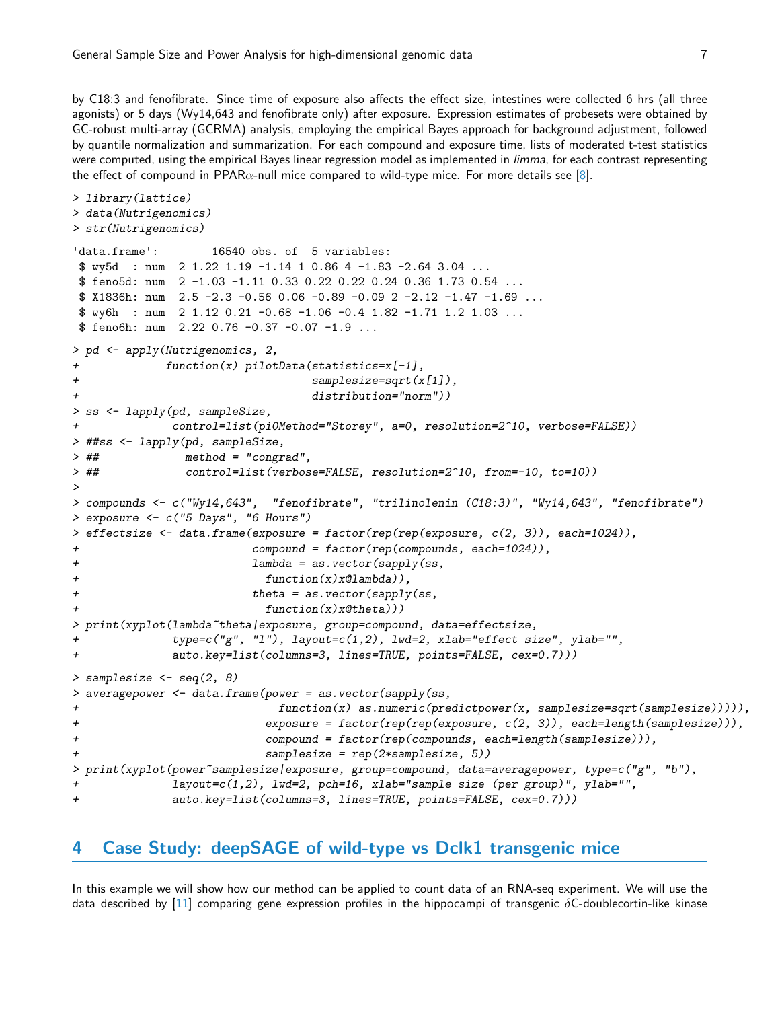by C18:3 and fenofibrate. Since time of exposure also affects the effect size, intestines were collected 6 hrs (all three agonists) or 5 days (Wy14,643 and fenofibrate only) after exposure. Expression estimates of probesets were obtained by GC-robust multi-array (GCRMA) analysis, employing the empirical Bayes approach for background adjustment, followed by quantile normalization and summarization. For each compound and exposure time, lists of moderated t-test statistics were computed, using the empirical Bayes linear regression model as implemented in *limma*, for each contrast representing the effect of compound in PPAR $\alpha$ -null mice compared to wild-type mice. For more details see [\[8\]](#page-10-8).

```
> library(lattice)
> data(Nutrigenomics)
> str(Nutrigenomics)
'data.frame': 16540 obs. of 5 variables:
$ wy5d : num 2 1.22 1.19 -1.14 1 0.86 4 -1.83 -2.64 3.04 ...
$ feno5d: num 2 -1.03 -1.11 0.33 0.22 0.22 0.24 0.36 1.73 0.54 ...
$ X1836h: num 2.5 -2.3 -0.56 0.06 -0.89 -0.09 2 -2.12 -1.47 -1.69 ...
$ wy6h : num 2 1.12 0.21 -0.68 -1.06 -0.4 1.82 -1.71 1.2 1.03 ...
$ feno6h: num 2.22 0.76 -0.37 -0.07 -1.9 ...
> pd <- apply(Nutrigenomics, 2,
+ function(x) pilotData(statistics=x[-1],
+ samplesize=sqrt(x[1]),
+ distribution="norm"))
> ss <- lapply(pd, sampleSize,
+ control=list(pi0Method="Storey", a=0, resolution=2^10, verbose=FALSE))
> ##ss <- lapply(pd, sampleSize,
> ## method = "congrad",
> ## control=list(verbose=FALSE, resolution=2^10, from=-10, to=10))
>
> compounds <- c("Wy14,643", "fenofibrate", "trilinolenin (C18:3)", "Wy14,643", "fenofibrate")
> exposure <- c("5 Days", "6 Hours")
> effectsize <- data.frame(exposure = factor(rep(rep(exposure, c(2, 3)), each=1024)),
+ compound = factor(rep(compounds, each=1024)),
+ lambda = as.vector(sapply(ss,
+ function(x)x@lambda)),
+ theta = as.vector(sapply(ss,
+ function(x)x@theta)))
> print(xyplot(lambda~theta|exposure, group=compound, data=effectsize,
+ type=c("g", "l"), layout=c(1,2), lwd=2, xlab="effect size", ylab="",
+ auto.key=list(columns=3, lines=TRUE, points=FALSE, cex=0.7)))
> samplesize <- seq(2, 8)
> averagepower <- data.frame(power = as.vector(sapply(ss,
+ function(x) as.numeric(predictpower(x, samplesize=sqrt(samplesize))))),
+ exposure = factor(rep(rep(exposure, c(2, 3)), each=length(samplesize))),
+ compound = factor(rep(compounds, each=length(samplesize))),
+ samplesize = rep(2*samplesize, 5))
> print(xyplot(power~samplesize|exposure, group=compound, data=averagepower, type=c("g", "b"),
+ layout=c(1,2), lwd=2, pch=16, xlab="sample size (per group)", ylab="",
+ auto.key=list(columns=3, lines=TRUE, points=FALSE, cex=0.7)))
```
## <span id="page-6-0"></span>4 Case Study: deepSAGE of wild-type vs Dclk1 transgenic mice

In this example we will show how our method can be applied to count data of an RNA-seq experiment. We will use the data described by [\[11\]](#page-10-11) comparing gene expression profiles in the hippocampi of transgenic  $\delta C$ -doublecortin-like kinase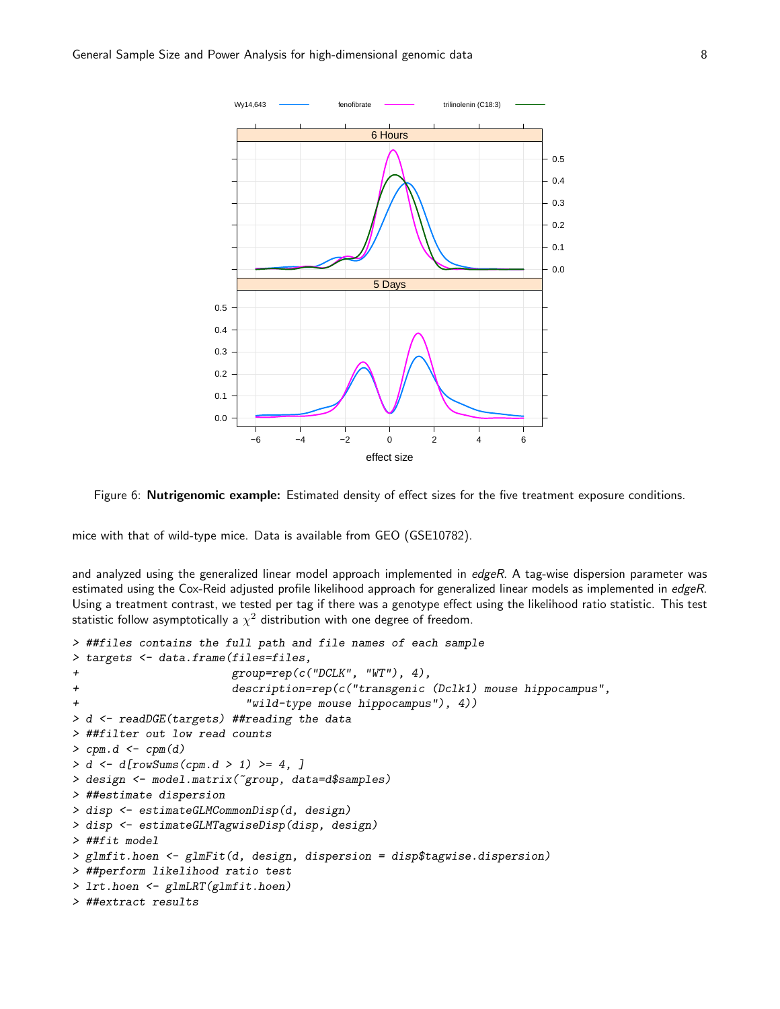

Figure 6: Nutrigenomic example: Estimated density of effect sizes for the five treatment exposure conditions.

mice with that of wild-type mice. Data is available from GEO (GSE10782).

and analyzed using the generalized linear model approach implemented in edgeR. A tag-wise dispersion parameter was estimated using the Cox-Reid adjusted profile likelihood approach for generalized linear models as implemented in edgeR. Using a treatment contrast, we tested per tag if there was a genotype effect using the likelihood ratio statistic. This test statistic follow asymptotically a  $\chi^2$  distribution with one degree of freedom.

```
> ##files contains the full path and file names of each sample
> targets <- data.frame(files=files,
+ group=rep(c("DCLK", "WT"), 4),
+ description=rep(c("transgenic (Dclk1) mouse hippocampus",
+ "wild-type mouse hippocampus"), 4))
> d <- readDGE(targets) ##reading the data
> ##filter out low read counts
> cpm.d <- cpm(d)
> d \le d [rowSums(cpm.d > 1) >= 4, ]
> design <- model.matrix(~group, data=d$samples)
> ##estimate dispersion
> disp <- estimateGLMCommonDisp(d, design)
> disp <- estimateGLMTagwiseDisp(disp, design)
> ##fit model
> glmfit.hoen <- glmFit(d, design, dispersion = disp$tagwise.dispersion)
> ##perform likelihood ratio test
> lrt.hoen <- glmLRT(glmfit.hoen)
> ##extract results
```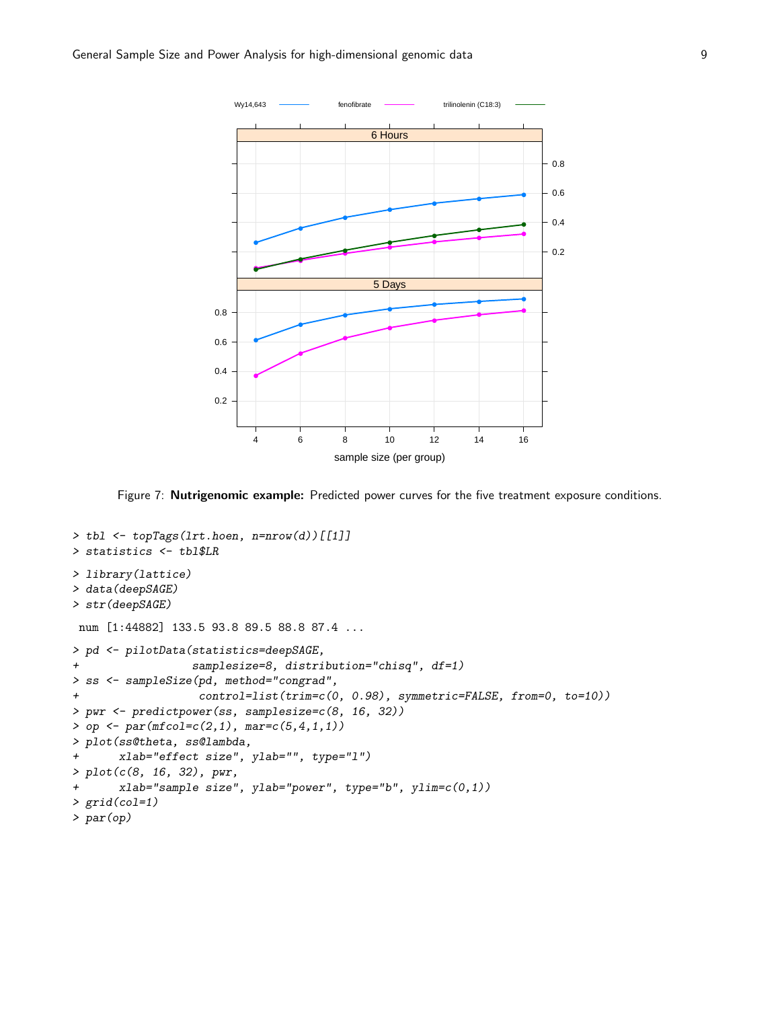

Figure 7: Nutrigenomic example: Predicted power curves for the five treatment exposure conditions.

```
> tbl <- topTags(lrt.hoen, n=nrow(d))[[1]]
> statistics <- tbl$LR
> library(lattice)
> data(deepSAGE)
> str(deepSAGE)
num [1:44882] 133.5 93.8 89.5 88.8 87.4 ...
> pd <- pilotData(statistics=deepSAGE,
+ samplesize=8, distribution="chisq", df=1)
> ss <- sampleSize(pd, method="congrad",
+ control=list(trim=c(0, 0.98), symmetric=FALSE, from=0, to=10))
> pwr <- predictpower(ss, samplesize=c(8, 16, 32))
> op <- par(mfcol = c(2,1), mar = c(5,4,1,1))> plot(ss@theta, ss@lambda,
+ xlab="effect size", ylab="", type="l")
> plot(c(8, 16, 32), pwr,
+ xlab="sample size", ylab="power", type="b", ylim=c(0,1))
> grid(col=1)
> par(op)
```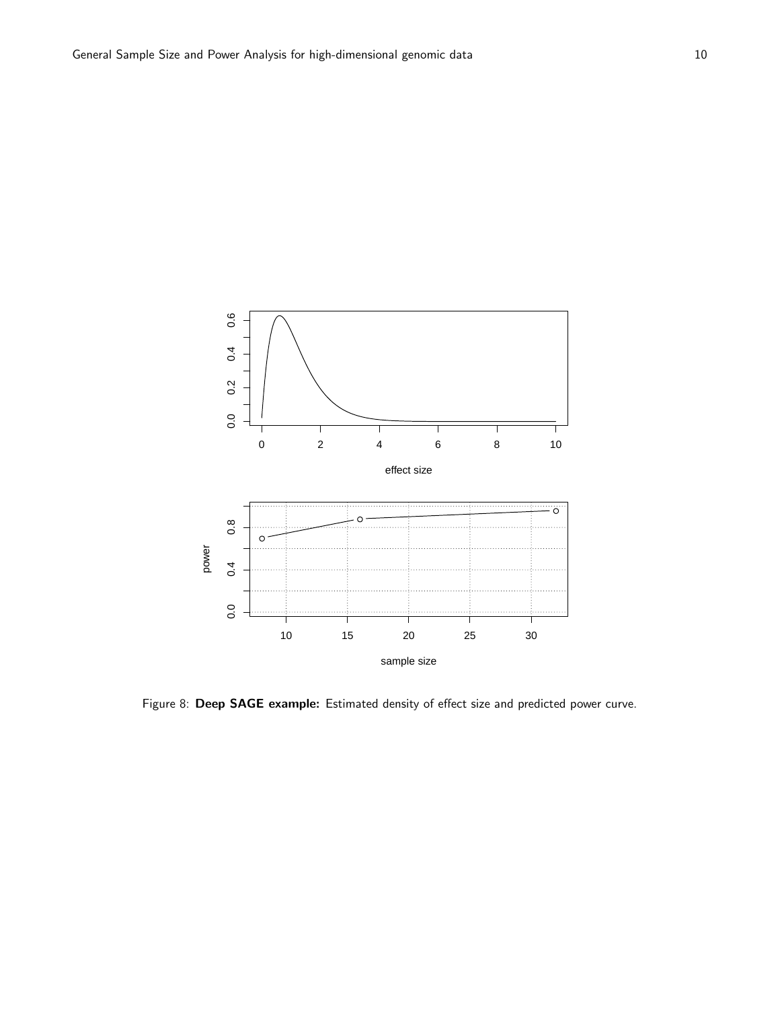

Figure 8: Deep SAGE example: Estimated density of effect size and predicted power curve.